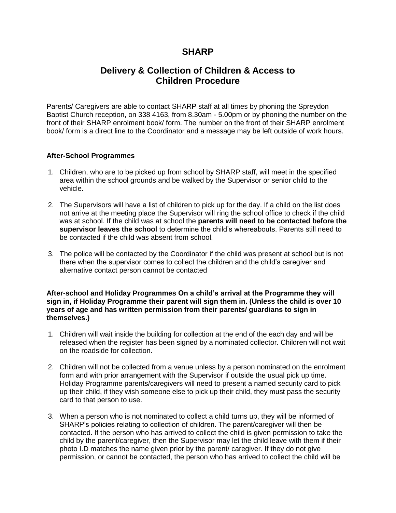## **SHARP**

## **Delivery & Collection of Children & Access to Children Procedure**

Parents/ Caregivers are able to contact SHARP staff at all times by phoning the Spreydon Baptist Church reception, on 338 4163, from 8.30am - 5.00pm or by phoning the number on the front of their SHARP enrolment book/ form. The number on the front of their SHARP enrolment book/ form is a direct line to the Coordinator and a message may be left outside of work hours.

## **After-School Programmes**

- 1. Children, who are to be picked up from school by SHARP staff, will meet in the specified area within the school grounds and be walked by the Supervisor or senior child to the vehicle.
- 2. The Supervisors will have a list of children to pick up for the day. If a child on the list does not arrive at the meeting place the Supervisor will ring the school office to check if the child was at school. If the child was at school the **parents will need to be contacted before the supervisor leaves the school** to determine the child's whereabouts. Parents still need to be contacted if the child was absent from school.
- 3. The police will be contacted by the Coordinator if the child was present at school but is not there when the supervisor comes to collect the children and the child's caregiver and alternative contact person cannot be contacted

## **After-school and Holiday Programmes On a child's arrival at the Programme they will sign in, if Holiday Programme their parent will sign them in. (Unless the child is over 10 years of age and has written permission from their parents/ guardians to sign in themselves.)**

- 1. Children will wait inside the building for collection at the end of the each day and will be released when the register has been signed by a nominated collector. Children will not wait on the roadside for collection.
- 2. Children will not be collected from a venue unless by a person nominated on the enrolment form and with prior arrangement with the Supervisor if outside the usual pick up time. Holiday Programme parents/caregivers will need to present a named security card to pick up their child, if they wish someone else to pick up their child, they must pass the security card to that person to use.
- 3. When a person who is not nominated to collect a child turns up, they will be informed of SHARP's policies relating to collection of children. The parent/caregiver will then be contacted. If the person who has arrived to collect the child is given permission to take the child by the parent/caregiver, then the Supervisor may let the child leave with them if their photo I.D matches the name given prior by the parent/ caregiver. If they do not give permission, or cannot be contacted, the person who has arrived to collect the child will be